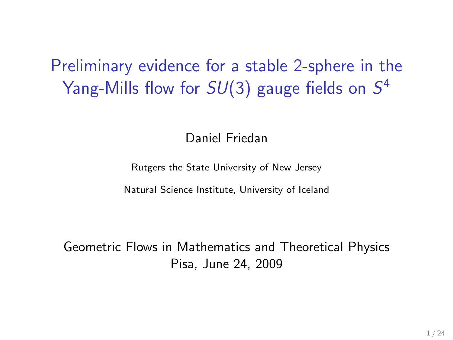Preliminary evidence for a stable 2-sphere in the Yang-Mills flow for  $SU(3)$  gauge fields on  $S^4$ 

Daniel Friedan

Rutgers the State University of New Jersey

Natural Science Institute, University of Iceland

Geometric Flows in Mathematics and Theoretical Physics Pisa, June 24, 2009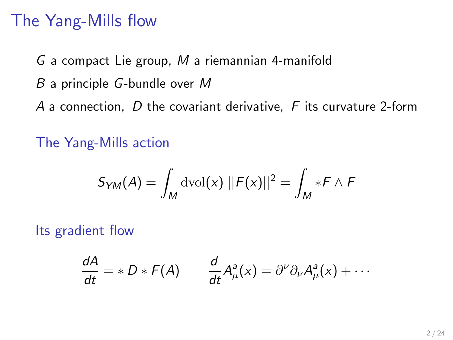#### The Yang-Mills flow

G a compact Lie group, M a riemannian 4-manifold B a principle G-bundle over M A a connection,  $D$  the covariant derivative,  $F$  its curvature 2-form

The Yang-Mills action

$$
S_{YM}(A) = \int_M \mathrm{dvol}(x) \; ||F(x)||^2 = \int_M *F \wedge F
$$

Its gradient flow

$$
\frac{dA}{dt} = *D * F(A) \qquad \frac{d}{dt} A^a_\mu(x) = \partial^\nu \partial_\nu A^a_\mu(x) + \cdots
$$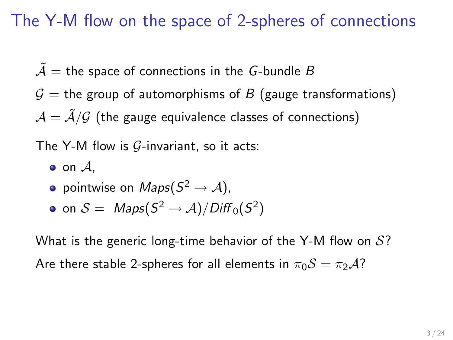### The Y-M flow on the space of 2-spheres of connections

- $\tilde{A}$  = the space of connections in the G-bundle B
- $G =$  the group of automorphisms of B (gauge transformations)  $A = \tilde{A}/\mathcal{G}$  (the gauge equivalence classes of connections)

The Y-M flow is  $G$ -invariant, so it acts:

 $\bullet$  on  $\mathcal{A}$ .

pointwise on  $\mathit{Maps}(S^2\rightarrow \mathcal{A}),$ 

• on 
$$
S = \text{Maps}(S^2 \to \mathcal{A}) / \text{Diff}_0(S^2)
$$

What is the generic long-time behavior of the Y-M flow on  $\mathcal{S}$ ? Are there stable 2-spheres for all elements in  $\pi_0S = \pi_2A$ ?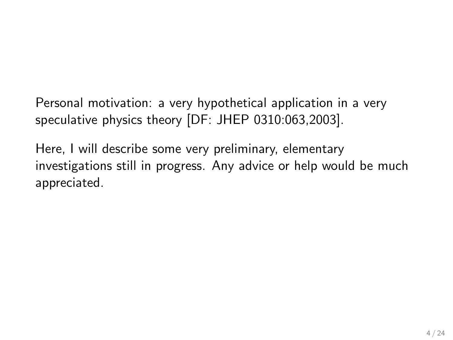Personal motivation: a very hypothetical application in a very speculative physics theory [DF: JHEP 0310:063,2003].

Here, I will describe some very preliminary, elementary investigations still in progress. Any advice or help would be much appreciated.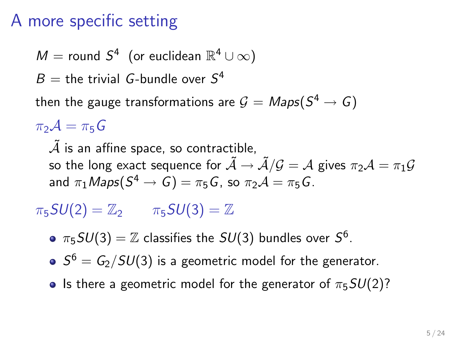### A more specific setting

 $M =$  round  $S^4$  (or euclidean  $\mathbb{R}^4 \cup \infty$ )

 $B =$  the trivial G-bundle over  $S<sup>4</sup>$ 

then the gauge transformations are  $\mathcal{G} = \mathit{Maps}(S^4 \to G)$ 

 $\pi_2 A = \pi_5 G$ 

 $\tilde{\mathcal{A}}$  is an affine space, so contractible, so the long exact sequence for  $\tilde{A} \rightarrow \tilde{A}/\mathcal{G} = \mathcal{A}$  gives  $\pi_2 \mathcal{A} = \pi_1 \mathcal{G}$ and  $\pi_1\mathit{Maps}(S^4\to\mathit{G})=\pi_5\mathit{G}$ , so  $\pi_2\mathcal{A}=\pi_5\mathit{G}$ .

 $\pi_5SU(2) = \mathbb{Z}_2$   $\pi_5SU(3) = \mathbb{Z}$ 

 $\pi_5SU(3)=\mathbb{Z}$  classifies the  $SU(3)$  bundles over  $S^6.$ 

 $S^6 = G_2/SU(3)$  is a geometric model for the generator.

• Is there a geometric model for the generator of  $\pi_5SU(2)$ ?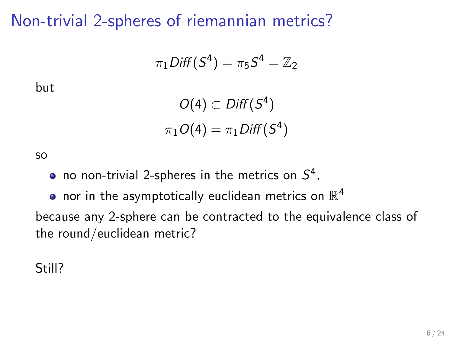Non-trivial 2-spheres of riemannian metrics?

$$
\pi_1\text{Diff}(S^4)=\pi_5S^4=\mathbb{Z}_2
$$

but

$$
O(4) \subset Diff(S^4)
$$
  

$$
\pi_1 O(4) = \pi_1 Diff(S^4)
$$

so

no non-trivial 2-spheres in the metrics on  $S^4$ ,

nor in the asymptotically euclidean metrics on  $\mathbb{R}^4$ because any 2-sphere can be contracted to the equivalence class of the round/euclidean metric?

Still?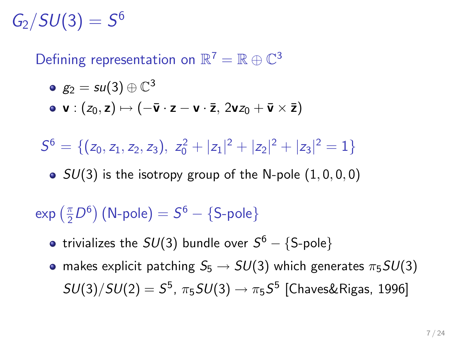$G_2/SU(3) = S^6$ 

Defining representation on  $\mathbb{R}^7 = \mathbb{R} \oplus \mathbb{C}^3$ 

$$
\bullet \ \ g_2 = su(3) \oplus \mathbb{C}^3
$$

• v :  $(z_0, z) \mapsto (-\overline{v} \cdot z - v \cdot \overline{z}, 2vz_0 + \overline{v} \times \overline{z})$ 

$$
S^6=\{(z_0,z_1,z_2,z_3),\;z_0^2+|z_1|^2+|z_2|^2+|z_3|^2=1\}
$$

•  $SU(3)$  is the isotropy group of the N-pole  $(1, 0, 0, 0)$ 

 $\exp\left(\frac{\pi}{2}D^6\right)$  (N-pole)  $= S^6 - \{$ S-pole $\}$ 

- trivializes the  $SU(3)$  bundle over  $S^6-\{\text{S-pole}\}$
- makes explicit patching  $S_5 \rightarrow SU(3)$  which generates  $\pi_5 SU(3)$  $SU(3)/SU(2)=S^5$ ,  $\pi_5SU(3)\rightarrow \pi_5 S^5$  [Chaves&Rigas, 1996]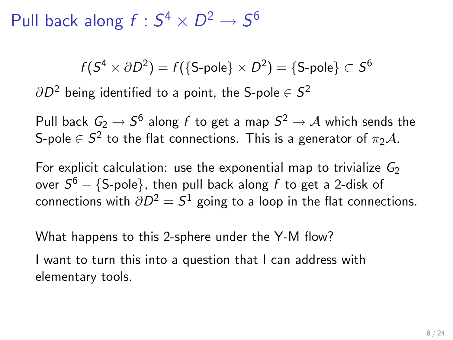Pull back along  $f: S^4 \times D^2 \rightarrow S^6$ 

$$
f(S^4 \times \partial D^2) = f(\{\text{S-pole}\} \times D^2) = \{\text{S-pole}\} \subset S^6
$$

 $\partial D^2$  being identified to a point, the S-pole  $\in \mathcal{S}^2$ 

Pull back  $\mathit{G}_{2} \rightarrow \mathit{S}^{6}$  along  $f$  to get a map  $\mathit{S}^{2} \rightarrow \mathcal{A}$  which sends the S-pole  $\in S^2$  to the flat connections. This is a generator of  $\pi_2 \mathcal{A}.$ 

For explicit calculation: use the exponential map to trivialize  $G_2$ over  $S^6-\{\text{S-pole}\}$ , then pull back along  $f$  to get a 2-disk of connections with  $\partial D^2 = \mathcal{S}^1$  going to a loop in the flat connections.

What happens to this 2-sphere under the Y-M flow?

I want to turn this into a question that I can address with elementary tools.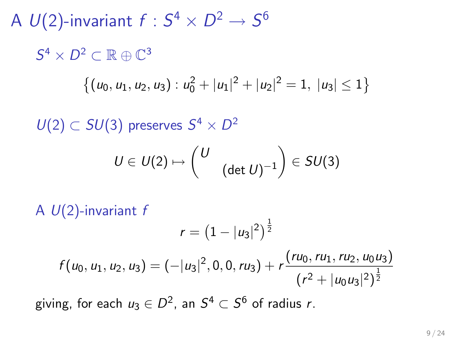A  $U(2)$ -invariant  $f:S^4\times D^2\rightarrow S^6$  $S^4 \times D^2 \subset \mathbb{R} \oplus \mathbb{C}^3$  $\{(u_0, u_1, u_2, u_3) : u_0^2 + |u_1|^2 + |u_2|^2 = 1, |u_3| \leq 1\}$  $U(2) \subset SU(3)$  preserves  $S^4 \times D^2$  $U \in U(2) \mapsto \begin{pmatrix} U \end{pmatrix}$  $(\det U)^{-1}$  $\Big) \in SU(3)$ A  $U(2)$ -invariant f  $r=\left(1-|u_3|^2\right)^{\frac{1}{2}}$  $f(u_0, u_1, u_2, u_3) = (-|u_3|^2, 0, 0, ru_3) + r \frac{(ru_0, ru_1, ru_2, u_0u_3)}{(1-x_0^2 + 1)}$  $(r^2 + |u_0 u_3|^2)^{\frac{1}{2}}$ 

giving, for each  $u_3\in D^2$ , an  $S^4\subset S^6$  of radius  $r.$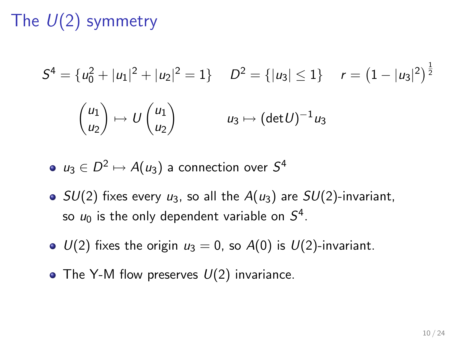# The  $U(2)$  symmetry

$$
S4 = {u02 + |u1|2 + |u2|2 = 1} \t D2 = {|u3| ≤ 1} \t r = (1 - |u3|2)\frac{1}{2}
$$

$$
{\begin{pmatrix} u_1 \\ u_2 \end{pmatrix} \mapsto U {\begin{pmatrix} u_1 \\ u_2 \end{pmatrix} \t u_3 \mapsto (\det U)^{-1} u_3}
$$

 $u_3\in D^2\mapsto A(u_3)$  a connection over  $S^4$ 

- $SU(2)$  fixes every  $u_3$ , so all the  $A(u_3)$  are  $SU(2)$ -invariant, so  $u_0$  is the only dependent variable on  $S^4$ .
- $\bullet$   $U(2)$  fixes the origin  $u_3 = 0$ , so  $A(0)$  is  $U(2)$ -invariant.
- The Y-M flow preserves  $U(2)$  invariance.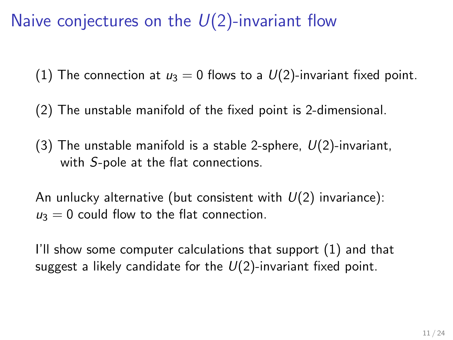Naive conjectures on the  $U(2)$ -invariant flow

(1) The connection at  $u_3 = 0$  flows to a  $U(2)$ -invariant fixed point.

(2) The unstable manifold of the fixed point is 2-dimensional.

(3) The unstable manifold is a stable 2-sphere,  $U(2)$ -invariant, with S-pole at the flat connections.

An unlucky alternative (but consistent with  $U(2)$  invariance):  $u_3 = 0$  could flow to the flat connection.

I'll show some computer calculations that support (1) and that suggest a likely candidate for the  $U(2)$ -invariant fixed point.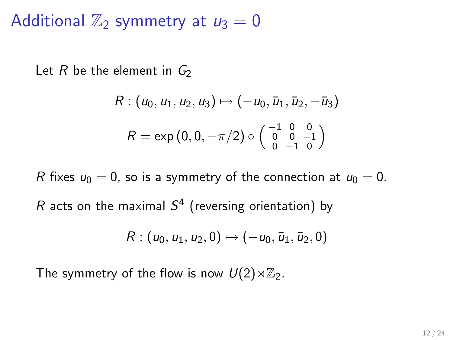Additional  $\mathbb{Z}_2$  symmetry at  $u_3 = 0$ 

Let R be the element in  $G_2$ 

$$
R: (u_0, u_1, u_2, u_3) \mapsto (-u_0, \bar{u}_1, \bar{u}_2, -\bar{u}_3)
$$

$$
R = \exp(0, 0, -\pi/2) \circ \begin{pmatrix} -1 & 0 & 0 \\ 0 & 0 & -1 \\ 0 & -1 & 0 \end{pmatrix}
$$

R fixes  $u_0 = 0$ , so is a symmetry of the connection at  $u_0 = 0$ . R acts on the maximal  $S^4$  (reversing orientation) by

$$
R:(u_0,u_1,u_2,0)\mapsto (-u_0,\bar{u}_1,\bar{u}_2,0)
$$

The symmetry of the flow is now  $U(2)\rtimes\mathbb{Z}_2$ .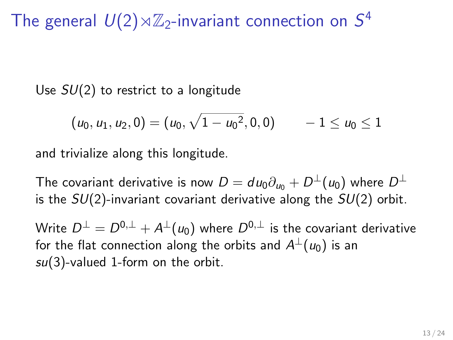# The general  $U(2) \rtimes \mathbb{Z}_2$ -invariant connection on  $S^4$

Use  $SU(2)$  to restrict to a longitude

$$
(u_0, u_1, u_2, 0) = (u_0, \sqrt{1 - u_0^2}, 0, 0) \qquad -1 \le u_0 \le 1
$$

and trivialize along this longitude.

The covariant derivative is now  $D = d\, u_0 \partial_{u_0} + D^\perp(u_0)$  where  $D^\perp$ is the  $SU(2)$ -invariant covariant derivative along the  $SU(2)$  orbit.

Write  $D^\perp = D^{0,\perp} + A^\perp(u_0)$  where  $D^{0,\perp}$  is the covariant derivative for the flat connection along the orbits and  $A^\perp(u_0)$  is an  $su(3)$ -valued 1-form on the orbit.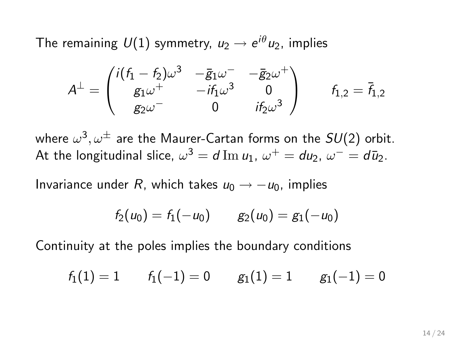The remaining  ${\it U}(1)$  symmetry,  ${\it u}_2\rightarrow e^{i\theta}{\it u}_2$ , implies

$$
A^\perp=\begin{pmatrix} i(f_1-f_2)\omega^3&-{\bar g}_1\omega^--{\bar g}_2\omega^+\\ g_1\omega^+&-i f_1\omega^3&0\\ g_2\omega^-&0&i f_2\omega^3\end{pmatrix}\qquad f_{1,2}={\bar f}_{1,2}
$$

where  $\omega^3, \omega^\pm$  are the Maurer-Cartan forms on the  $SU(2)$  orbit. At the longitudinal slice,  $\omega^3 = d \operatorname{Im} u_1$ ,  $\omega^+ = du_2$ ,  $\omega^- = d \bar{u}_2$ .

Invariance under R, which takes  $u_0 \rightarrow -u_0$ , implies

$$
f_2(u_0)=f_1(-u_0) \qquad g_2(u_0)=g_1(-u_0)
$$

Continuity at the poles implies the boundary conditions

$$
f_1(1)=1\qquad f_1(-1)=0\qquad g_1(1)=1\qquad g_1(-1)=0
$$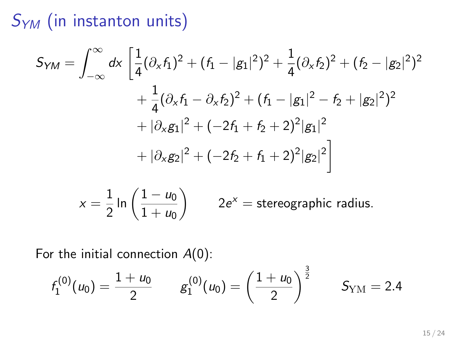# $S_{YM}$  (in instanton units)

$$
S_{YM} = \int_{-\infty}^{\infty} dx \left[ \frac{1}{4} (\partial_x f_1)^2 + (f_1 - |g_1|^2)^2 + \frac{1}{4} (\partial_x f_2)^2 + (f_2 - |g_2|^2)^2 + \frac{1}{4} (\partial_x f_1 - \partial_x f_2)^2 + (f_1 - |g_1|^2 - f_2 + |g_2|^2)^2 + |\partial_x g_1|^2 + (-2f_1 + f_2 + 2)^2 |g_1|^2 + |\partial_x g_2|^2 + (-2f_2 + f_1 + 2)^2 |g_2|^2 \right]
$$

$$
x = \frac{1}{2} \ln \left( \frac{1 - u_0}{1 + u_0} \right) \qquad 2e^x = \text{stereographic radius}.
$$

For the initial connection  $A(0)$ :

$$
f_1^{(0)}(u_0) = \frac{1+u_0}{2} \qquad g_1^{(0)}(u_0) = \left(\frac{1+u_0}{2}\right)^{\frac{3}{2}} \qquad S_{\text{YM}} = 2.4
$$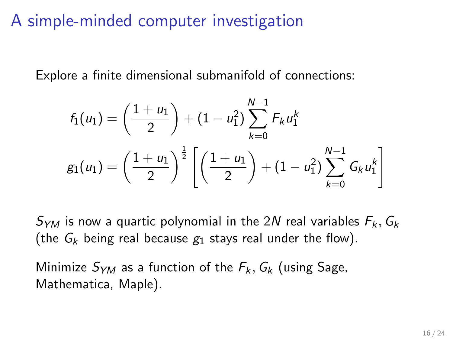#### A simple-minded computer investigation

Explore a finite dimensional submanifold of connections:

$$
f_1(u_1) = \left(\frac{1+u_1}{2}\right) + (1-u_1^2) \sum_{k=0}^{N-1} F_k u_1^k
$$
  

$$
g_1(u_1) = \left(\frac{1+u_1}{2}\right)^{\frac{1}{2}} \left[ \left(\frac{1+u_1}{2}\right) + (1-u_1^2) \sum_{k=0}^{N-1} G_k u_1^k \right]
$$

 $S_{YM}$  is now a quartic polynomial in the 2N real variables  $F_k$ ,  $G_k$ (the  $G_k$  being real because  $g_1$  stays real under the flow).

Minimize  $S_{YM}$  as a function of the  $F_k$ ,  $G_k$  (using Sage, Mathematica, Maple).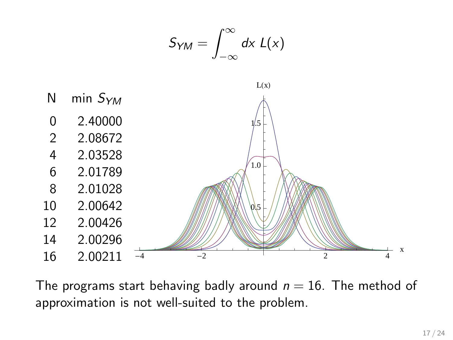

The programs start behaving badly around  $n = 16$ . The method of approximation is not well-suited to the problem.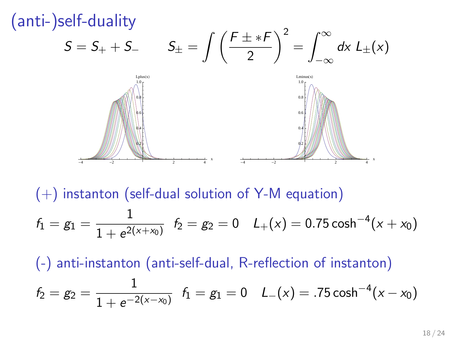

 $(+)$  instanton (self-dual solution of Y-M equation)  $f_1 = g_1 = \frac{1}{1 + x^2}$  $\frac{1}{1+e^{2(x+x_0)}}$   $f_2 = g_2 = 0$   $L_+(x) = 0.75 \cosh^{-4}(x+x_0)$ 

(-) anti-instanton (anti-self-dual, R-reflection of instanton)

$$
f_2 = g_2 = \frac{1}{1 + e^{-2(x - x_0)}} \quad f_1 = g_1 = 0 \quad L_-(x) = .75 \cosh^{-4}(x - x_0)
$$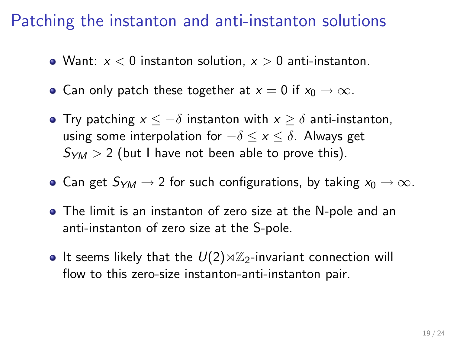#### Patching the instanton and anti-instanton solutions

- Want:  $x < 0$  instanton solution,  $x > 0$  anti-instanton.
- Can only patch these together at  $x = 0$  if  $x_0 \to \infty$ .
- Try patching  $x \le -\delta$  instanton with  $x \ge \delta$  anti-instanton, using some interpolation for  $-\delta \le x \le \delta$ . Always get  $S_{YM} > 2$  (but I have not been able to prove this).
- Can get  $S_{YM} \rightarrow 2$  for such configurations, by taking  $x_0 \rightarrow \infty$ .
- The limit is an instanton of zero size at the N-pole and an anti-instanton of zero size at the S-pole.
- It seems likely that the  $U(2) \rtimes \mathbb{Z}_2$ -invariant connection will flow to this zero-size instanton-anti-instanton pair.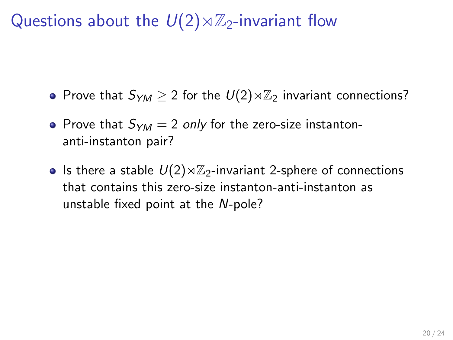Questions about the  $U(2)\rtimes\mathbb{Z}_2$ -invariant flow

- Prove that  $S_{YM} \geq 2$  for the  $U(2) \rtimes \mathbb{Z}_2$  invariant connections?
- Prove that  $S_{YM} = 2$  only for the zero-size instantonanti-instanton pair?
- Is there a stable  $U(2) \rtimes \mathbb{Z}_2$ -invariant 2-sphere of connections that contains this zero-size instanton-anti-instanton as unstable fixed point at the N-pole?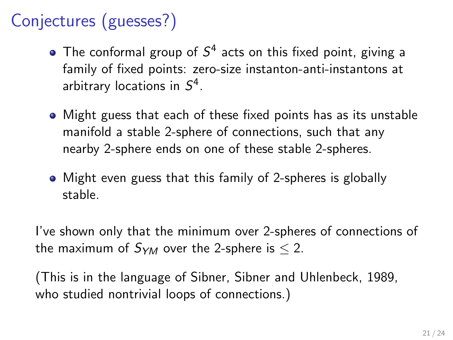## Conjectures (guesses?)

- The conformal group of  $S^4$  acts on this fixed point, giving a family of fixed points: zero-size instanton-anti-instantons at arbitrary locations in  $S^4$ .
- Might guess that each of these fixed points has as its unstable manifold a stable 2-sphere of connections, such that any nearby 2-sphere ends on one of these stable 2-spheres.
- Might even guess that this family of 2-spheres is globally stable.

I've shown only that the minimum over 2-spheres of connections of the maximum of  $S_{YM}$  over the 2-sphere is  $\leq 2$ .

(This is in the language of Sibner, Sibner and Uhlenbeck, 1989, who studied nontrivial loops of connections.)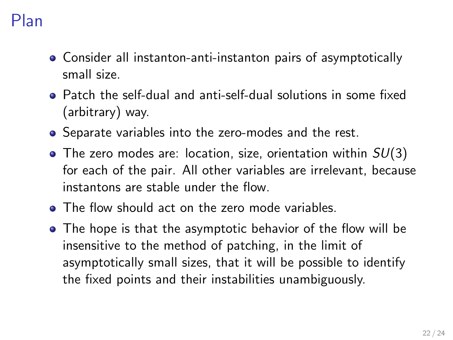### Plan

- Consider all instanton-anti-instanton pairs of asymptotically small size.
- Patch the self-dual and anti-self-dual solutions in some fixed (arbitrary) way.
- Separate variables into the zero-modes and the rest.
- $\bullet$  The zero modes are: location, size, orientation within  $SU(3)$ for each of the pair. All other variables are irrelevant, because instantons are stable under the flow.
- The flow should act on the zero mode variables.
- The hope is that the asymptotic behavior of the flow will be insensitive to the method of patching, in the limit of asymptotically small sizes, that it will be possible to identify the fixed points and their instabilities unambiguously.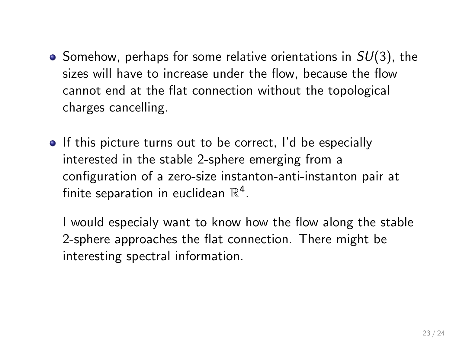- $\bullet$  Somehow, perhaps for some relative orientations in  $SU(3)$ , the sizes will have to increase under the flow, because the flow cannot end at the flat connection without the topological charges cancelling.
- If this picture turns out to be correct, I'd be especially interested in the stable 2-sphere emerging from a configuration of a zero-size instanton-anti-instanton pair at finite separation in euclidean  $\mathbb{R}^4$ .

I would especialy want to know how the flow along the stable 2-sphere approaches the flat connection. There might be interesting spectral information.